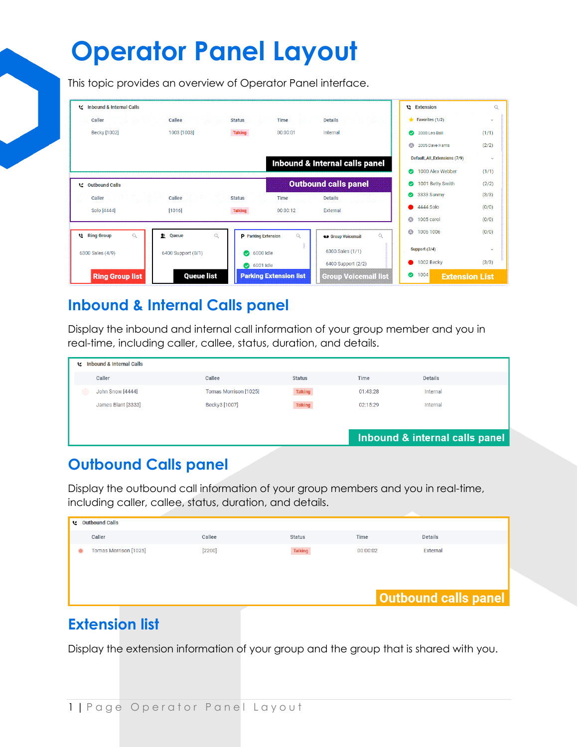This topic provides an overview of Operator Panel interface.

| te Inbound & Internal Calls      |                               |                               |          |                                       |           | <b>Extension</b>              | $\alpha$     |
|----------------------------------|-------------------------------|-------------------------------|----------|---------------------------------------|-----------|-------------------------------|--------------|
| Caller                           | Callee                        | <b>Status</b>                 | Time     | <b>Details</b>                        |           | $\bigstar$ Favorites (1/2)    | v            |
| Becky [1002]                     | 1003 [1003]                   | <b>Talking</b>                | 00:00:01 | Internal                              | ☎         | 2000 Leo Ball                 | (1/1)        |
|                                  |                               |                               |          |                                       | ۵         | 2005 Dave Harris              | (2/2)        |
|                                  |                               |                               |          | Inbound & Internal calls panel        |           | Default_All_Extensions (7/9)  | $\checkmark$ |
|                                  |                               |                               |          |                                       | ☎         | 1000 Alex Webber              | (1/1)        |
| t<br>Outbound Calls              |                               |                               |          | <b>Outbound calls panel</b>           | ⊗         | 1001 Betty Smith              | (2/2)        |
| Caller                           | Callee                        | <b>Status</b>                 | Time     | <b>Details</b>                        | $\bullet$ | 3333 Sunmy                    | (3/3)        |
| Solo [4444]                      | [1016]                        | <b>Talking</b>                | 00:00:12 | External                              |           | 4444 Solo                     | (0/0)        |
|                                  |                               |                               |          |                                       | Ø         | 1005 carol                    | (0/0)        |
| $\alpha$<br><b>LE Ring Group</b> | $\alpha$<br>壑<br><b>Oueue</b> | P Parking Extension           | $\alpha$ | $\alpha$<br><b>es</b> Group Voicemail | Ø         | 1006 1006                     | (0/0)        |
| 6300 Sales (4/9)                 | 6400 Support (0/1)            | 6000 Idle<br>$\bullet$        |          | 6300 Sales (1/1)                      |           | Support (3/4)                 | $\checkmark$ |
|                                  |                               | 6001 Idle                     |          | 6400 Support (2/2)                    |           | 1002 Becky                    | (3/3)        |
| <b>Ring Group list</b>           | <b>Queue list</b>             | <b>Parking Extension list</b> |          | <b>Group Voicemail list</b>           | $\bullet$ | 1004<br><b>Extension List</b> |              |

#### **Inbound & Internal Calls panel**

Display the inbound and internal call information of your group member and you in real-time, including caller, callee, status, duration, and details.

| <b>Inbound &amp; Internal Calls</b><br>t. |                       |                |          |                                |  |
|-------------------------------------------|-----------------------|----------------|----------|--------------------------------|--|
| Caller                                    | Callee                | <b>Status</b>  | Time     | <b>Details</b>                 |  |
| John Snow [4444]                          | Tomas Morrison [1025] | <b>Talking</b> | 01:43:28 | Internal                       |  |
| James Blant [3333]                        | Becky3 [1007]         | <b>Talking</b> | 02:15:29 | Internal                       |  |
|                                           |                       |                |          |                                |  |
|                                           |                       |                |          | Inbound & internal calls panel |  |
|                                           |                       |                |          |                                |  |

### **Outbound Calls panel**

Display the outbound call information of your group members and you in real-time, including caller, callee, status, duration, and details.

|           | t: Outbound Calls     |        |                |          |                             |  |
|-----------|-----------------------|--------|----------------|----------|-----------------------------|--|
|           | Caller                | Callee | <b>Status</b>  | Time     | <b>Details</b>              |  |
| $\bullet$ | Tomas Morrison [1025] | [2200] | <b>Talking</b> | 00:00:02 | External                    |  |
|           |                       |        |                |          |                             |  |
|           |                       |        |                |          |                             |  |
|           |                       |        |                |          |                             |  |
|           |                       |        |                |          | <b>Outbound calls panel</b> |  |

### **Extension list**

Display the extension information of your group and the group that is shared with you.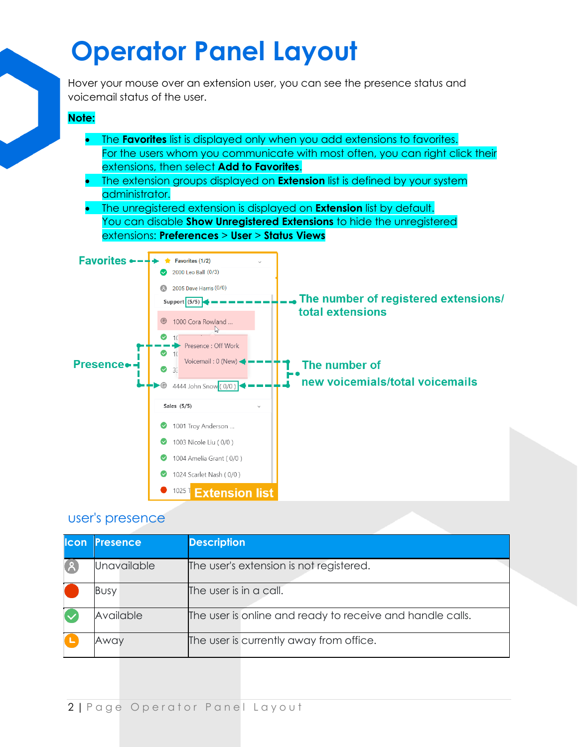Hover your mouse over an extension user, you can see the presence status and voicemail status of the user.

#### **Note:**

- The **Favorites** list is displayed only when you add extensions to favorites. For the users whom you communicate with most often, you can right click their extensions, then select **Add to Favorites**.
- The extension groups displayed on **Extension** list is defined by your system administrator.
- The unregistered extension is displayed on **Extension** list by default. You can disable **Show Unregistered Extensions** to hide the unregistered extensions: **Preferences** > **User** > **Status Views**



#### user's presence

| llcon | <b>Presence</b> | <b>Description</b>                                        |
|-------|-----------------|-----------------------------------------------------------|
| 8     | Unavailable     | The user's extension is not registered.                   |
|       | <b>Busy</b>     | The user is in a call.                                    |
|       | Available       | The user is online and ready to receive and handle calls. |
|       | Awav            | The user is currently away from office.                   |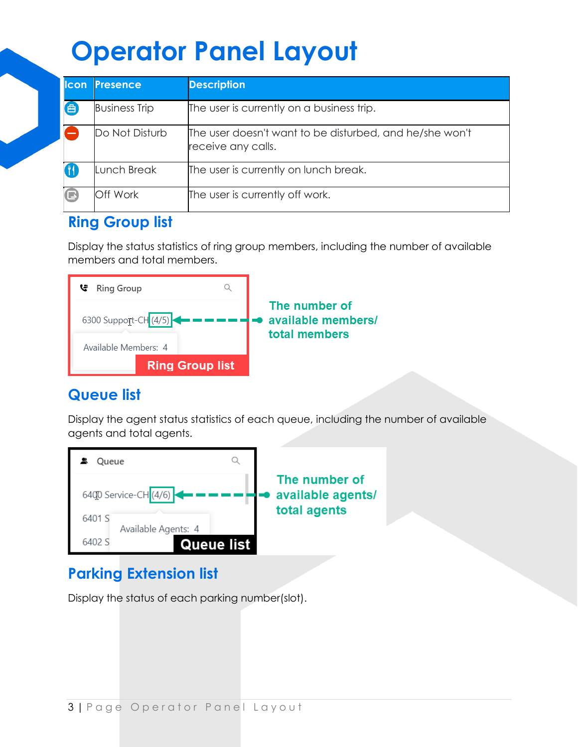| lcon   | <b>Presence</b>      | <b>Description</b>                                                            |
|--------|----------------------|-------------------------------------------------------------------------------|
| 曲      | <b>Business Trip</b> | The user is currently on a business trip.                                     |
|        | Do Not Disturb       | The user doesn't want to be disturbed, and he/she won't<br>receive any calls. |
|        | Lunch Break          | The user is currently on lunch break.                                         |
| $\Box$ | Off Work             | The user is currently off work.                                               |

### **Ring Group list**

Display the status statistics of ring group members, including the number of available members and total members.



### **Queue list**

Display the agent status statistics of each queue, including the number of available agents and total agents.



### **Parking Extension list**

Display the status of each parking number(slot).